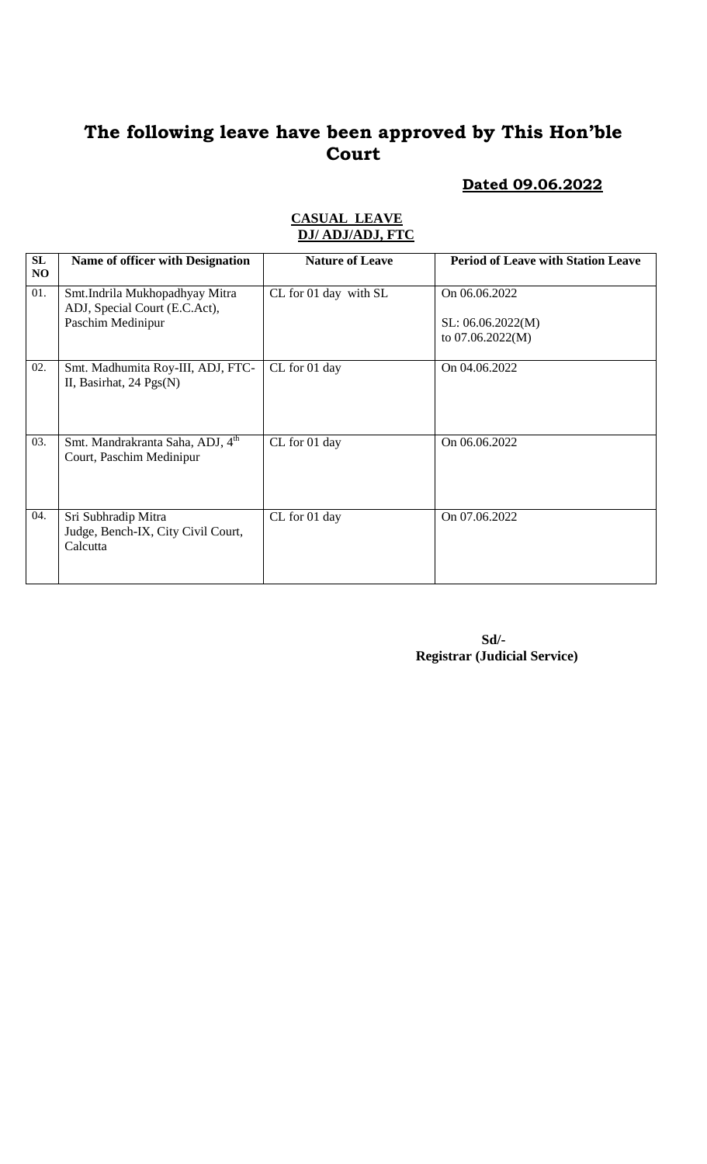## **Dated 09.06.2022**

#### **CASUAL LEAVE DJ/ ADJ/ADJ, FTC**

| SL<br>NO | <b>Name of officer with Designation</b>                                              | <b>Nature of Leave</b> | <b>Period of Leave with Station Leave</b>              |
|----------|--------------------------------------------------------------------------------------|------------------------|--------------------------------------------------------|
| 01.      | Smt.Indrila Mukhopadhyay Mitra<br>ADJ, Special Court (E.C.Act),<br>Paschim Medinipur | CL for 01 day with SL  | On 06.06.2022<br>SL: 06.06.2022(M)<br>to 07.06.2022(M) |
| 02.      | Smt. Madhumita Roy-III, ADJ, FTC-<br>II, Basirhat, $24 \text{ Pgs(N)}$               | CL for 01 day          | On 04.06.2022                                          |
| 03.      | Smt. Mandrakranta Saha, ADJ, 4 <sup>th</sup><br>Court, Paschim Medinipur             | CL for 01 day          | On 06.06.2022                                          |
| 04.      | Sri Subhradip Mitra<br>Judge, Bench-IX, City Civil Court,<br>Calcutta                | CL for 01 day          | On 07.06.2022                                          |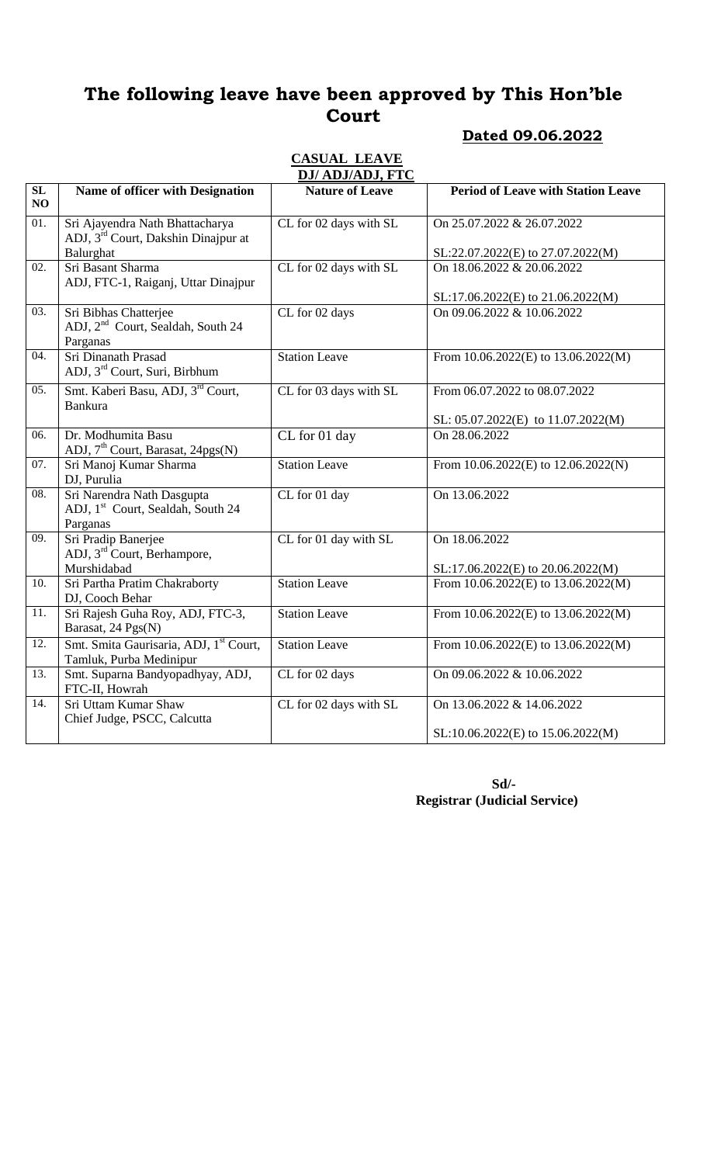### **Dated 09.06.2022**

#### **CASUAL LEAVE DJ/ ADJ/ADJ, FTC**

|                   |                                                                                         | <i>Dal Adalada</i> , FTC |                                                                         |
|-------------------|-----------------------------------------------------------------------------------------|--------------------------|-------------------------------------------------------------------------|
| SL<br>NO          | Name of officer with Designation                                                        | <b>Nature of Leave</b>   | <b>Period of Leave with Station Leave</b>                               |
| $\overline{01}$ . | Sri Ajayendra Nath Bhattacharya<br>ADJ, 3 <sup>rd</sup> Court, Dakshin Dinajpur at      | CL for 02 days with SL   | On 25.07.2022 & 26.07.2022                                              |
|                   | Balurghat                                                                               |                          | SL:22.07.2022(E) to 27.07.2022(M)                                       |
| 02.               | Sri Basant Sharma<br>ADJ, FTC-1, Raiganj, Uttar Dinajpur                                | CL for 02 days with SL   | On 18.06.2022 & 20.06.2022<br>SL:17.06.2022(E) to 21.06.2022(M)         |
| 03.               | Sri Bibhas Chatterjee<br>ADJ, 2 <sup>nd</sup> Court, Sealdah, South 24<br>Parganas      | CL for 02 days           | On 09.06.2022 & 10.06.2022                                              |
| 04.               | Sri Dinanath Prasad<br>ADJ, 3 <sup>rd</sup> Court, Suri, Birbhum                        | <b>Station Leave</b>     | From $10.06.2022$ (E) to $13.06.2022$ (M)                               |
| 05.               | Smt. Kaberi Basu, ADJ, 3 <sup>rd</sup> Court,<br><b>Bankura</b>                         | CL for 03 days with SL   | From 06.07.2022 to 08.07.2022<br>SL: $05.07.2022(E)$ to $11.07.2022(M)$ |
| 06.               | Dr. Modhumita Basu<br>ADJ, 7 <sup>th</sup> Court, Barasat, 24pgs(N)                     | CL for 01 day            | On 28.06.2022                                                           |
| 07.               | Sri Manoj Kumar Sharma<br>DJ, Purulia                                                   | <b>Station Leave</b>     | From $10.06.2022$ (E) to $12.06.2022$ (N)                               |
| 08.               | Sri Narendra Nath Dasgupta<br>ADJ, 1 <sup>st</sup> Court, Sealdah, South 24<br>Parganas | CL for 01 day            | On 13.06.2022                                                           |
| 09.               | Sri Pradip Banerjee<br>ADJ, 3 <sup>rd</sup> Court, Berhampore,<br>Murshidabad           | CL for 01 day with SL    | On 18.06.2022<br>SL:17.06.2022(E) to 20.06.2022(M)                      |
| 10.               | Sri Partha Pratim Chakraborty<br>DJ, Cooch Behar                                        | <b>Station Leave</b>     | From $10.06.2022(E)$ to $13.06.2022(M)$                                 |
| 11.               | Sri Rajesh Guha Roy, ADJ, FTC-3,<br>Barasat, 24 Pgs(N)                                  | <b>Station Leave</b>     | From 10.06.2022(E) to 13.06.2022(M)                                     |
| 12.               | Smt. Smita Gaurisaria, ADJ, 1st Court,<br>Tamluk, Purba Medinipur                       | <b>Station Leave</b>     | From $10.06.2022$ (E) to $13.06.2022$ (M)                               |
| $\overline{13}$ . | Smt. Suparna Bandyopadhyay, ADJ,<br>FTC-II, Howrah                                      | CL for 02 days           | On 09.06.2022 & 10.06.2022                                              |
| $\overline{14}$ . | Sri Uttam Kumar Shaw<br>Chief Judge, PSCC, Calcutta                                     | CL for 02 days with SL   | On 13.06.2022 & 14.06.2022                                              |
|                   |                                                                                         |                          | SL:10.06.2022(E) to 15.06.2022(M)                                       |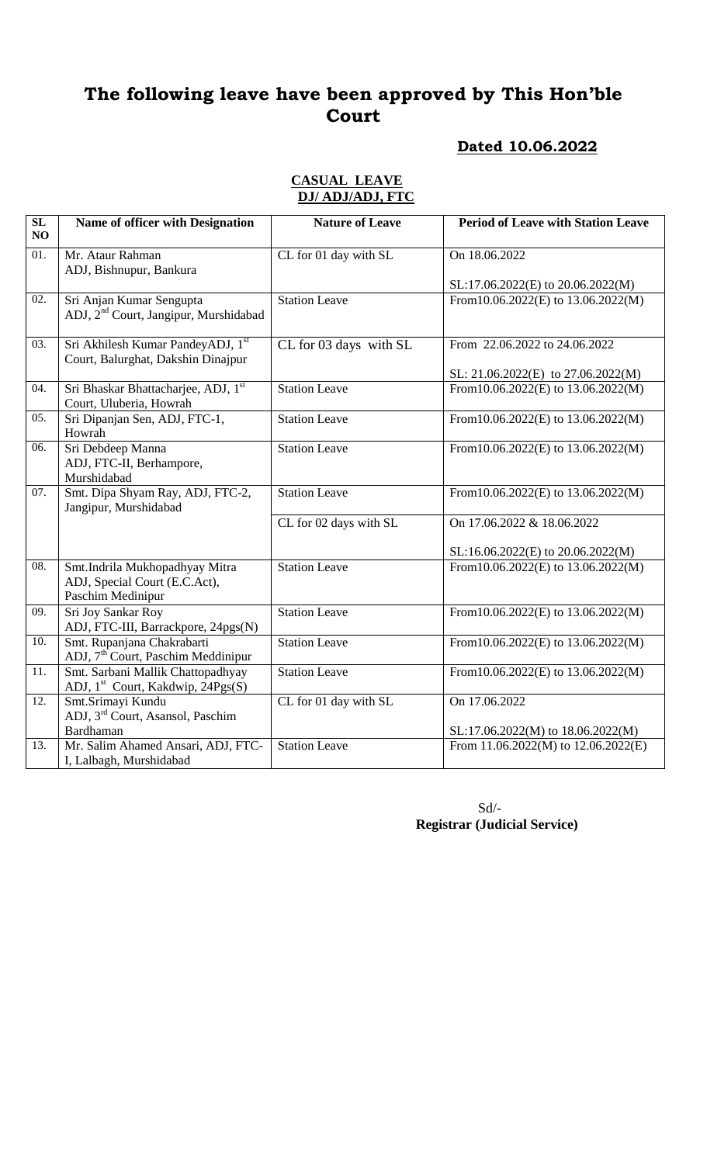### **Dated 10.06.2022**

#### **CASUAL LEAVE DJ/ ADJ/ADJ, FTC**

| $\overline{\text{SL}}$<br>NO | <b>Name of officer with Designation</b>                                              | <b>Nature of Leave</b>                     | <b>Period of Leave with Station Leave</b>                           |
|------------------------------|--------------------------------------------------------------------------------------|--------------------------------------------|---------------------------------------------------------------------|
| 01.                          | Mr. Ataur Rahman<br>ADJ, Bishnupur, Bankura                                          | CL for 01 day with SL                      | On 18.06.2022                                                       |
|                              |                                                                                      |                                            | SL:17.06.2022(E) to 20.06.2022(M)                                   |
| 02.                          | Sri Anjan Kumar Sengupta<br>ADJ, 2 <sup>nd</sup> Court, Jangipur, Murshidabad        | <b>Station Leave</b>                       | From 10.06.2022(E) to 13.06.2022(M)                                 |
| 03.                          | Sri Akhilesh Kumar PandeyADJ, 1st<br>Court, Balurghat, Dakshin Dinajpur              | $\overline{\text{CL}}$ for 03 days with SL | From 22.06.2022 to 24.06.2022<br>SL: 21.06.2022(E) to 27.06.2022(M) |
| 04.                          | Sri Bhaskar Bhattacharjee, ADJ, 1st<br>Court, Uluberia, Howrah                       | <b>Station Leave</b>                       | From 10.06.2022(E) to 13.06.2022(M)                                 |
| 05.                          | Sri Dipanjan Sen, ADJ, FTC-1,<br>Howrah                                              | <b>Station Leave</b>                       | From 10.06.2022(E) to 13.06.2022(M)                                 |
| 06.                          | Sri Debdeep Manna<br>ADJ, FTC-II, Berhampore,<br>Murshidabad                         | <b>Station Leave</b>                       | From 10.06.2022(E) to 13.06.2022(M)                                 |
| 07.                          | Smt. Dipa Shyam Ray, ADJ, FTC-2,<br>Jangipur, Murshidabad                            | <b>Station Leave</b>                       | From 10.06.2022(E) to 13.06.2022(M)                                 |
|                              |                                                                                      | CL for 02 days with SL                     | On 17.06.2022 & 18.06.2022<br>SL:16.06.2022(E) to 20.06.2022(M)     |
| $\overline{08}$ .            | Smt.Indrila Mukhopadhyay Mitra<br>ADJ, Special Court (E.C.Act),<br>Paschim Medinipur | <b>Station Leave</b>                       | From 10.06.2022(E) to 13.06.2022(M)                                 |
| 09.                          | Sri Joy Sankar Roy<br>ADJ, FTC-III, Barrackpore, 24pgs(N)                            | Station Leave                              | From 10.06.2022(E) to 13.06.2022(M)                                 |
| 10.                          | Smt. Rupanjana Chakrabarti<br>ADJ, 7 <sup>th</sup> Court, Paschim Meddinipur         | Station Leave                              | From 10.06.2022(E) to 13.06.2022(M)                                 |
| 11.                          | Smt. Sarbani Mallik Chattopadhyay<br>ADJ, 1 <sup>st</sup> Court, Kakdwip, 24Pgs(S)   | <b>Station Leave</b>                       | From 10.06.2022(E) to 13.06.2022(M)                                 |
| 12.                          | Smt.Srimayi Kundu<br>ADJ, 3 <sup>rd</sup> Court, Asansol, Paschim<br>Bardhaman       | CL for 01 day with SL                      | On 17.06.2022<br>SL:17.06.2022(M) to 18.06.2022(M)                  |
| 13.                          | Mr. Salim Ahamed Ansari, ADJ, FTC-<br>I, Lalbagh, Murshidabad                        | <b>Station Leave</b>                       | From 11.06.2022(M) to 12.06.2022(E)                                 |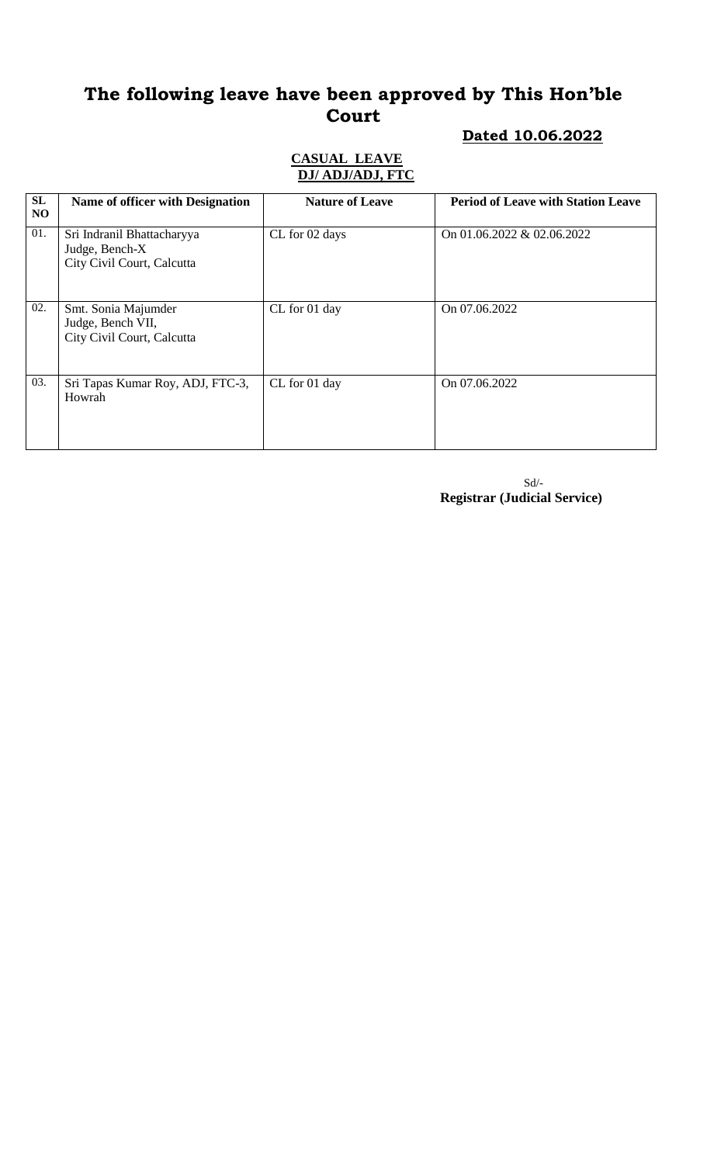# **Dated 10.06.2022**

### **CASUAL LEAVE DJ/ ADJ/ADJ, FTC**

| SL<br>N <sub>O</sub> | Name of officer with Designation                                           | <b>Nature of Leave</b> | <b>Period of Leave with Station Leave</b> |
|----------------------|----------------------------------------------------------------------------|------------------------|-------------------------------------------|
| 01.                  | Sri Indranil Bhattacharyya<br>Judge, Bench-X<br>City Civil Court, Calcutta | CL for 02 days         | On 01.06.2022 & 02.06.2022                |
| 02.                  | Smt. Sonia Majumder<br>Judge, Bench VII,<br>City Civil Court, Calcutta     | CL for 01 day          | On 07.06.2022                             |
| 03.                  | Sri Tapas Kumar Roy, ADJ, FTC-3,<br>Howrah                                 | CL for 01 day          | On 07.06.2022                             |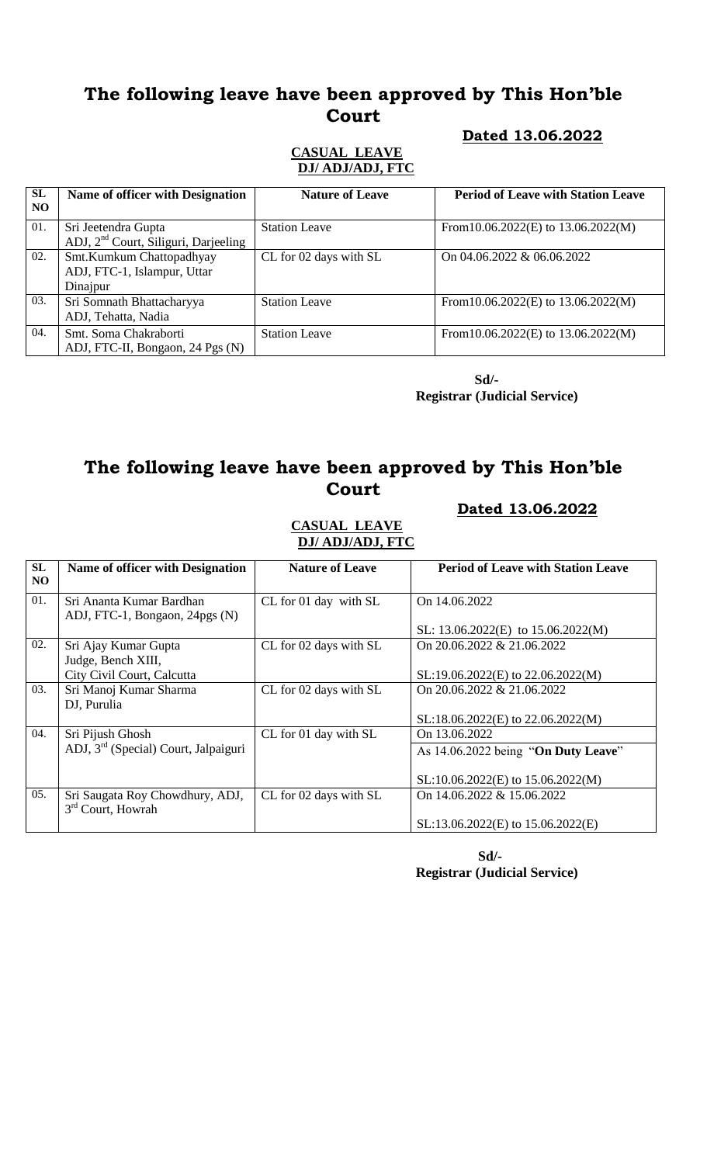### **Dated 13.06.2022**

#### **CASUAL LEAVE DJ/ ADJ/ADJ, FTC**

| <b>SL</b><br>NO. | <b>Name of officer with Designation</b>                                 | <b>Nature of Leave</b> | <b>Period of Leave with Station Leave</b> |
|------------------|-------------------------------------------------------------------------|------------------------|-------------------------------------------|
| 01.              | Sri Jeetendra Gupta<br>ADJ, 2 <sup>nd</sup> Court, Siliguri, Darjeeling | <b>Station Leave</b>   | From 10.06.2022(E) to 13.06.2022(M)       |
| 02.              | Smt.Kumkum Chattopadhyay<br>ADJ, FTC-1, Islampur, Uttar<br>Dinajpur     | CL for 02 days with SL | On 04.06.2022 & 06.06.2022                |
| 03.              | Sri Somnath Bhattacharyya<br>ADJ, Tehatta, Nadia                        | <b>Station Leave</b>   | From 10.06.2022(E) to 13.06.2022(M)       |
| 04.              | Smt. Soma Chakraborti<br>ADJ, FTC-II, Bongaon, 24 Pgs (N)               | <b>Station Leave</b>   | From 10.06.2022(E) to 13.06.2022(M)       |

 **Sd/- Registrar (Judicial Service)**

### **The following leave have been approved by This Hon'ble Court**

#### **Dated 13.06.2022**

## **CASUAL LEAVE DJ/ ADJ/ADJ, FTC**

| SL<br>NO. | Name of officer with Designation                       | <b>Nature of Leave</b> | <b>Period of Leave with Station Leave</b> |
|-----------|--------------------------------------------------------|------------------------|-------------------------------------------|
| 01.       | Sri Ananta Kumar Bardhan                               | CL for 01 day with SL  | On 14.06.2022                             |
|           | ADJ, FTC-1, Bongaon, 24pgs (N)                         |                        | SL: $13.06.2022(E)$ to $15.06.2022(M)$    |
| 02.       | Sri Ajay Kumar Gupta<br>Judge, Bench XIII,             | CL for 02 days with SL | On $20.06.2022 \& 21.06.2022$             |
|           | City Civil Court, Calcutta                             |                        | $SL:19.06.2022(E)$ to 22.06.2022(M)       |
| 03.       | Sri Manoj Kumar Sharma<br>DJ, Purulia                  | CL for 02 days with SL | On 20.06.2022 & 21.06.2022                |
|           |                                                        |                        | SL:18.06.2022(E) to 22.06.2022(M)         |
| 04.       | Sri Pijush Ghosh                                       | CL for 01 day with SL  | On 13.06.2022                             |
|           | ADJ, 3 <sup>rd</sup> (Special) Court, Jalpaiguri       |                        | As 14.06.2022 being "On Duty Leave"       |
|           |                                                        |                        | $SL:10.06.2022(E)$ to 15.06.2022(M)       |
| 05.       | Sri Saugata Roy Chowdhury, ADJ,<br>$3rd$ Court, Howrah | CL for 02 days with SL | On $14.06.2022 \& 15.06.2022$             |
|           |                                                        |                        | $SL:13.06.2022(E)$ to $15.06.2022(E)$     |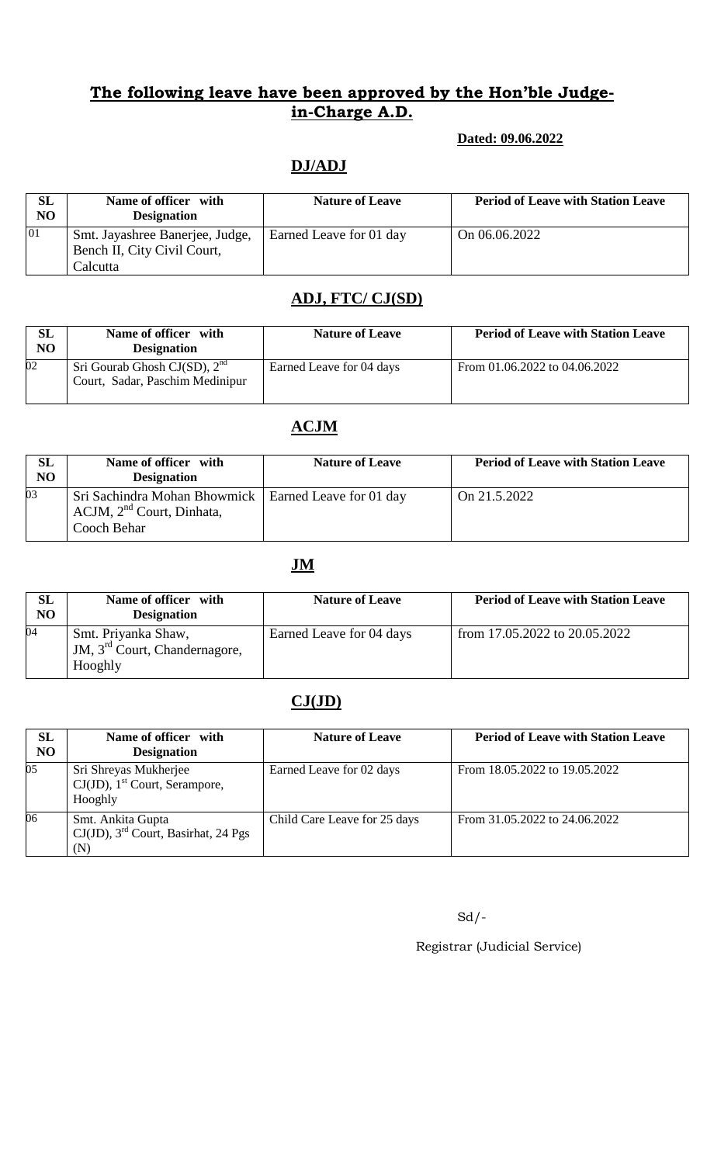#### **Dated: 09.06.2022**

## **DJ/ADJ**

| <b>SL</b><br>N <sub>O</sub> | Name of officer with<br><b>Designation</b>                                 | <b>Nature of Leave</b>  | <b>Period of Leave with Station Leave</b> |
|-----------------------------|----------------------------------------------------------------------------|-------------------------|-------------------------------------------|
| 01                          | Smt. Jayashree Banerjee, Judge,<br>Bench II, City Civil Court,<br>Calcutta | Earned Leave for 01 day | On 06.06.2022                             |

### **ADJ, FTC/ CJ(SD)**

| <b>SL</b><br>N <sub>O</sub> | Name of officer with<br><b>Designation</b>                            | <b>Nature of Leave</b>   | <b>Period of Leave with Station Leave</b> |
|-----------------------------|-----------------------------------------------------------------------|--------------------------|-------------------------------------------|
| 02                          | Sri Gourab Ghosh CJ $(SD)$ , $2nd$<br>Court, Sadar, Paschim Medinipur | Earned Leave for 04 days | From $01.06.2022$ to $04.06.2022$         |

### **ACJM**

| <b>SL</b><br>N <sub>O</sub> | Name of officer with<br><b>Designation</b>                                                              | <b>Nature of Leave</b> | <b>Period of Leave with Station Leave</b> |
|-----------------------------|---------------------------------------------------------------------------------------------------------|------------------------|-------------------------------------------|
| 03                          | Sri Sachindra Mohan Bhowmick   Earned Leave for 01 day<br>$ACJM$ , $2nd$ Court, Dinhata,<br>Cooch Behar |                        | On 21.5.2022                              |

### **JM**

| SL<br>N <sub>O</sub> | Name of officer with<br><b>Designation</b>                                  | <b>Nature of Leave</b>   | <b>Period of Leave with Station Leave</b> |
|----------------------|-----------------------------------------------------------------------------|--------------------------|-------------------------------------------|
| 04                   | Smt. Priyanka Shaw,<br>JM, 3 <sup>rd</sup> Court, Chandernagore,<br>Hooghly | Earned Leave for 04 days | from 17.05.2022 to 20.05.2022             |

## **CJ(JD)**

| SL<br>N <sub>O</sub> | Name of officer with<br><b>Designation</b>                                       | <b>Nature of Leave</b>       | <b>Period of Leave with Station Leave</b> |
|----------------------|----------------------------------------------------------------------------------|------------------------------|-------------------------------------------|
| 05                   | Sri Shreyas Mukherjee<br>$CJ(JD)$ , 1 <sup>st</sup> Court, Serampore,<br>Hooghly | Earned Leave for 02 days     | From 18.05.2022 to 19.05.2022             |
| 06                   | Smt. Ankita Gupta<br>$CJ(JD)$ , 3 <sup>rd</sup> Court, Basirhat, 24 Pgs<br>(N)   | Child Care Leave for 25 days | From 31.05.2022 to 24.06.2022             |

Sd/-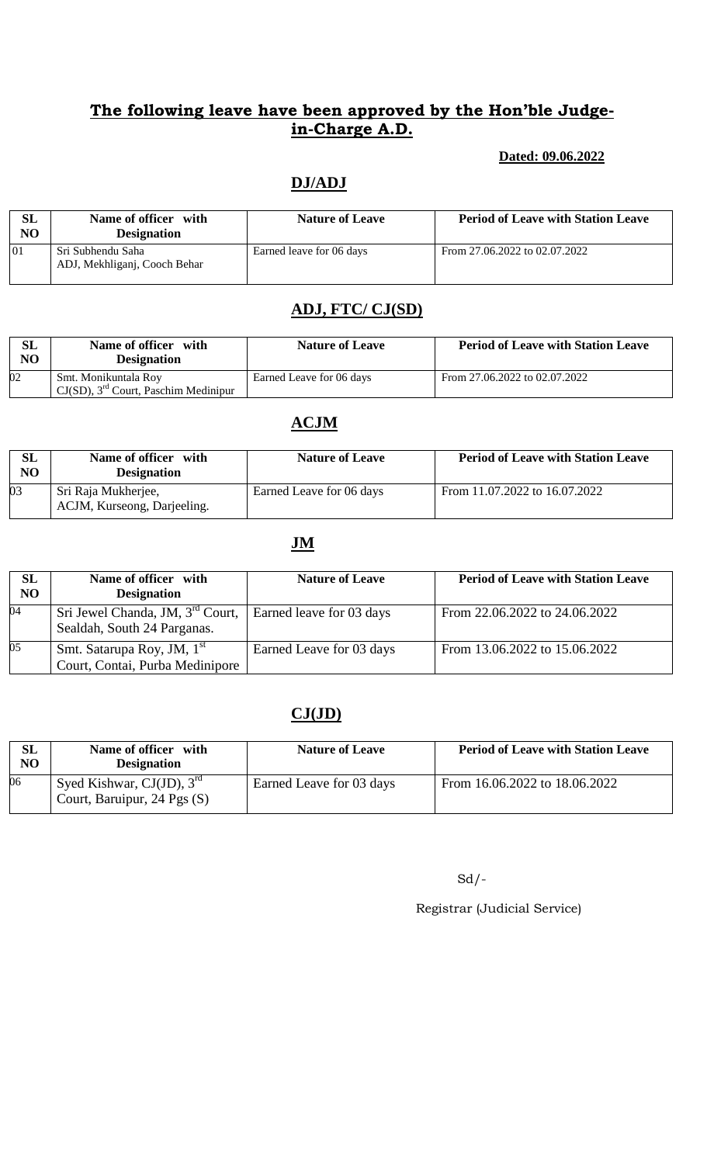#### **Dated: 09.06.2022**

### **DJ/ADJ**

| SL<br>NO | Name of officer with<br><b>Designation</b>        | <b>Nature of Leave</b>   | <b>Period of Leave with Station Leave</b> |
|----------|---------------------------------------------------|--------------------------|-------------------------------------------|
| 01       | Sri Subhendu Saha<br>ADJ, Mekhliganj, Cooch Behar | Earned leave for 06 days | From 27.06.2022 to 02.07.2022             |

## **ADJ, FTC/ CJ(SD)**

| $\rm SL$<br>N <sub>O</sub> | Name of officer with<br><b>Designation</b>                                        | <b>Nature of Leave</b>   | <b>Period of Leave with Station Leave</b> |
|----------------------------|-----------------------------------------------------------------------------------|--------------------------|-------------------------------------------|
| 02                         | Smt. Monikuntala Roy<br>$\Gamma$ CJ(SD), 3 <sup>rd</sup> Court, Paschim Medinipur | Earned Leave for 06 days | From 27.06.2022 to 02.07.2022             |

### **ACJM**

| $\rm SL$<br>N <sub>O</sub> | Name of officer with<br><b>Designation</b>         | <b>Nature of Leave</b>   | <b>Period of Leave with Station Leave</b> |
|----------------------------|----------------------------------------------------|--------------------------|-------------------------------------------|
| 03                         | Sri Raja Mukherjee,<br>ACJM, Kurseong, Darjeeling. | Earned Leave for 06 days | From 11.07.2022 to 16.07.2022             |

### **JM**

| SL<br>NO | Name of officer with<br><b>Designation</b>                                  | <b>Nature of Leave</b>   | <b>Period of Leave with Station Leave</b> |
|----------|-----------------------------------------------------------------------------|--------------------------|-------------------------------------------|
| 04       | Sri Jewel Chanda, JM, 3 <sup>rd</sup> Court,<br>Sealdah, South 24 Parganas. | Earned leave for 03 days | From 22.06.2022 to 24.06.2022             |
| 05       | Smt. Satarupa Roy, JM, 1 <sup>st</sup><br>Court, Contai, Purba Medinipore   | Earned Leave for 03 days | From 13.06.2022 to 15.06.2022             |

### **CJ(JD)**

| SL<br>NO | Name of officer with<br><b>Designation</b>                             | <b>Nature of Leave</b>   | <b>Period of Leave with Station Leave</b> |
|----------|------------------------------------------------------------------------|--------------------------|-------------------------------------------|
| 06       | Syed Kishwar, CJ(JD), $3^{\text{rd}}$<br>Court, Baruipur, 24 Pgs $(S)$ | Earned Leave for 03 days | From 16.06.2022 to 18.06.2022             |

 $Sd$  /-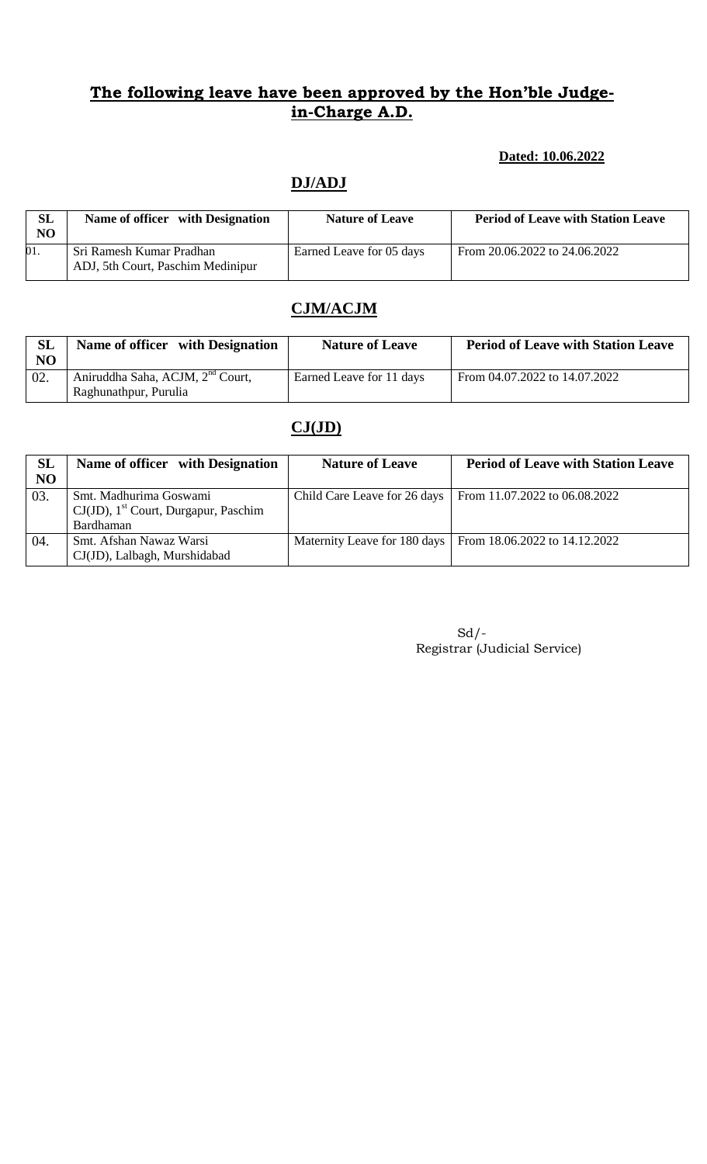### **Dated: 10.06.2022**

## **DJ/ADJ**

| <b>SL</b><br>N <sub>O</sub> | Name of officer with Designation                              | <b>Nature of Leave</b>   | <b>Period of Leave with Station Leave</b> |
|-----------------------------|---------------------------------------------------------------|--------------------------|-------------------------------------------|
| 01.                         | Sri Ramesh Kumar Pradhan<br>ADJ, 5th Court, Paschim Medinipur | Earned Leave for 05 days | From 20.06.2022 to 24.06.2022             |

## **CJM/ACJM**

| <b>SL</b><br>N <sub>O</sub> | Name of officer with Designation                                      | <b>Nature of Leave</b>   | <b>Period of Leave with Station Leave</b> |
|-----------------------------|-----------------------------------------------------------------------|--------------------------|-------------------------------------------|
| 02.                         | Aniruddha Saha, ACJM, 2 <sup>nd</sup> Court,<br>Raghunathpur, Purulia | Earned Leave for 11 days | From 04.07.2022 to 14.07.2022             |

### **CJ(JD)**

| SL<br>NO | Name of officer with Designation                                                           | <b>Nature of Leave</b>       | <b>Period of Leave with Station Leave</b> |
|----------|--------------------------------------------------------------------------------------------|------------------------------|-------------------------------------------|
| 03.      | Smt. Madhurima Goswami<br>$CJ(JD)$ , 1 <sup>st</sup> Court, Durgapur, Paschim<br>Bardhaman | Child Care Leave for 26 days | From 11.07.2022 to 06.08.2022             |
| 04.      | Smt. Afshan Nawaz Warsi<br>CJ(JD), Lalbagh, Murshidabad                                    | Maternity Leave for 180 days | From 18.06.2022 to 14.12.2022             |

| $Sd$ / -                     |
|------------------------------|
| Registrar (Judicial Service) |